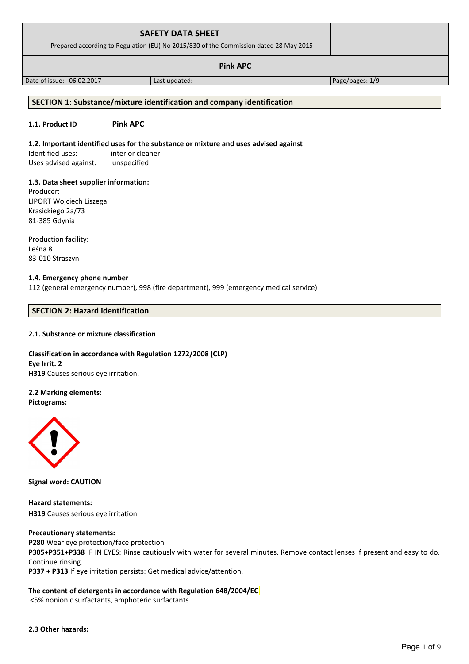| <b>SAFETY DATA SHEET</b><br>Prepared according to Regulation (EU) No 2015/830 of the Commission dated 28 May 2015 |               |                 |  |
|-------------------------------------------------------------------------------------------------------------------|---------------|-----------------|--|
| <b>Pink APC</b>                                                                                                   |               |                 |  |
| Date of issue: 06.02.2017                                                                                         | Last updated: | Page/pages: 1/9 |  |
|                                                                                                                   |               |                 |  |

## **SECTION 1: Substance/mixture identification and company identification**

#### **1.1. Product ID Pink APC**

#### **1.2. Important identified uses for the substance or mixture and uses advised against**

Identified uses: interior cleaner Uses advised against: unspecified

#### **1.3. Data sheet supplier information:**

Producer: LIPORT Wojciech Liszega Krasickiego 2a/73 81-385 Gdynia

Production facility: Leśna 8 83-010 Straszyn

#### **1.4. Emergency phone number**

112 (general emergency number), 998 (fire department), 999 (emergency medical service)

## **SECTION 2: Hazard identification**

#### **2.1. Substance or mixture classification**

## **Classification in accordance with Regulation 1272/2008 (CLP) Eye Irrit. 2 H319** Causes serious eye irritation.

## **2.2 Marking elements:**

**Pictograms:**



**Signal word: CAUTION**

**Hazard statements: H319** Causes serious eye irritation

#### **Precautionary statements:**

**P280** Wear eye protection/face protection **P305+P351+P338** IF IN EYES: Rinse cautiously with water for several minutes. Remove contact lenses if present and easy to do. Continue rinsing.

**P337 + P313** If eye irritation persists: Get medical advice/attention.

## **The content of detergents in accordance with Regulation 648/2004/EC**

<5% nonionic surfactants, amphoteric surfactants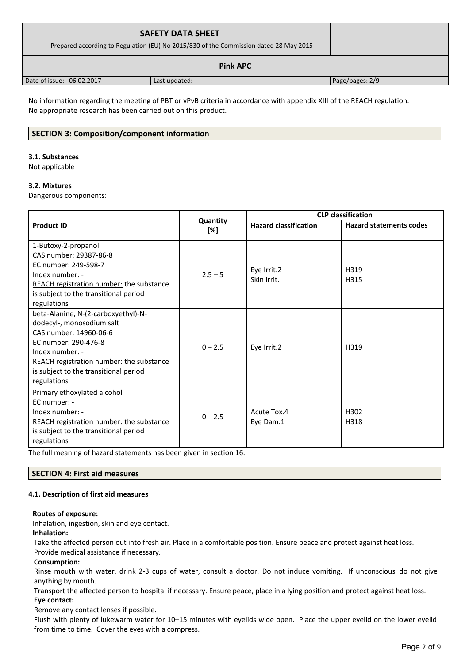| <b>SAFETY DATA SHEET</b><br>Prepared according to Regulation (EU) No 2015/830 of the Commission dated 28 May 2015 |               |                 |  |
|-------------------------------------------------------------------------------------------------------------------|---------------|-----------------|--|
| <b>Pink APC</b>                                                                                                   |               |                 |  |
| Date of issue: 06.02.2017                                                                                         | Last updated: | Page/pages: 2/9 |  |

No information regarding the meeting of PBT or vPvB criteria in accordance with appendix XIII of the REACH regulation. No appropriate research has been carried out on this product.

## **SECTION 3: Composition/component information**

#### **3.1. Substances**

Not applicable

#### **3.2. Mixtures**

Dangerous components:

|                                                                                                                                                                                                                                                          |                 | <b>CLP classification</b>    |                                |  |
|----------------------------------------------------------------------------------------------------------------------------------------------------------------------------------------------------------------------------------------------------------|-----------------|------------------------------|--------------------------------|--|
| <b>Product ID</b>                                                                                                                                                                                                                                        | Quantity<br>[%] | <b>Hazard classification</b> | <b>Hazard statements codes</b> |  |
| 1-Butoxy-2-propanol<br>CAS number: 29387-86-8<br>EC number: 249-598-7<br>Index number: -<br>REACH registration number: the substance<br>is subject to the transitional period                                                                            | $2.5 - 5$       | Eye Irrit.2<br>Skin Irrit.   | H319<br>H315                   |  |
| regulations<br>beta-Alanine, N-(2-carboxyethyl)-N-<br>dodecyl-, monosodium salt<br>CAS number: 14960-06-6<br>EC number: 290-476-8<br>Index number: -<br>REACH registration number: the substance<br>is subject to the transitional period<br>regulations | $0 - 2.5$       | Eye Irrit.2                  | H319                           |  |
| Primary ethoxylated alcohol<br>EC number: -<br>Index number: -<br>REACH registration number: the substance<br>is subject to the transitional period<br>regulations                                                                                       | $0 - 2.5$       | Acute Tox.4<br>Eye Dam.1     | H302<br>H318                   |  |

The full meaning of hazard statements has been given in section 16.

## **SECTION 4: First aid measures**

## **4.1. Description of first aid measures**

## **Routes of exposure:**

Inhalation, ingestion, skin and eye contact.

## **Inhalation:**

Take the affected person out into fresh air. Place in a comfortable position. Ensure peace and protect against heat loss.

Provide medical assistance if necessary.

## **Consumption:**

Rinse mouth with water, drink 2-3 cups of water, consult a doctor. Do not induce vomiting. If unconscious do not give anything by mouth.

Transport the affected person to hospital if necessary. Ensure peace, place in a lying position and protect against heat loss. **Eye contact:**

Remove any contact lenses if possible.

Flush with plenty of lukewarm water for 10–15 minutes with eyelids wide open. Place the upper eyelid on the lower eyelid from time to time. Cover the eyes with a compress.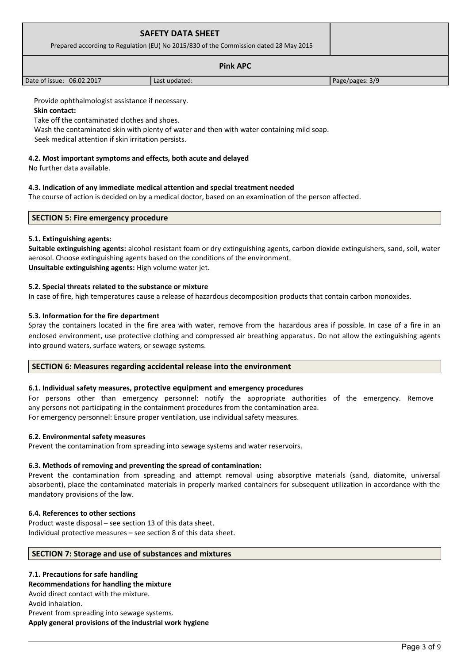| <b>SAFETY DATA SHEET</b><br>Prepared according to Regulation (EU) No 2015/830 of the Commission dated 28 May 2015 |  |
|-------------------------------------------------------------------------------------------------------------------|--|
| <b>Pink APC</b>                                                                                                   |  |

Provide ophthalmologist assistance if necessary.

**Skin contact:**

Take off the contaminated clothes and shoes.

Wash the contaminated skin with plenty of water and then with water containing mild soap.

Seek medical attention if skin irritation persists.

#### **4.2. Most important symptoms and effects, both acute and delayed**

No further data available.

## **4.3. Indication of any immediate medical attention and special treatment needed**

The course of action is decided on by a medical doctor, based on an examination of the person affected.

Date of issue: 06.02.2017 **Last updated:** Page/pages: 3/9

| <b>SECTION 5: Fire emergency procedure</b> |
|--------------------------------------------|
|--------------------------------------------|

## **5.1. Extinguishing agents:**

**Suitable extinguishing agents:** alcohol-resistant foam or dry extinguishing agents, carbon dioxide extinguishers, sand, soil, water aerosol. Choose extinguishing agents based on the conditions of the environment. **Unsuitable extinguishing agents:** High volume water jet.

## **5.2. Special threats related to the substance or mixture**

In case of fire, high temperatures cause a release of hazardous decomposition products that contain carbon monoxides.

## **5.3. Information for the fire department**

Spray the containers located in the fire area with water, remove from the hazardous area if possible. In case of a fire in an enclosed environment, use protective clothing and compressed air breathing apparatus. Do not allow the extinguishing agents into ground waters, surface waters, or sewage systems.

## **SECTION 6: Measures regarding accidental release into the environment**

## **6.1. Individual safety measures, protective equipment and emergency procedures**

For persons other than emergency personnel: notify the appropriate authorities of the emergency. Remove any persons not participating in the containment procedures from the contamination area. For emergency personnel: Ensure proper ventilation, use individual safety measures.

#### **6.2. Environmental safety measures**

Prevent the contamination from spreading into sewage systems and water reservoirs.

#### **6.3. Methods of removing and preventing the spread of contamination:**

Prevent the contamination from spreading and attempt removal using absorptive materials (sand, diatomite, universal absorbent), place the contaminated materials in properly marked containers for subsequent utilization in accordance with the mandatory provisions of the law.

#### **6.4. References to other sections**

Product waste disposal – see section 13 of this data sheet. Individual protective measures – see section 8 of this data sheet.

#### **SECTION 7: Storage and use of substances and mixtures**

## **7.1. Precautions for safe handling**

## **Recommendations for handling the mixture**

Avoid direct contact with the mixture. Avoid inhalation. Prevent from spreading into sewage systems. **Apply general provisions of the industrial work hygiene**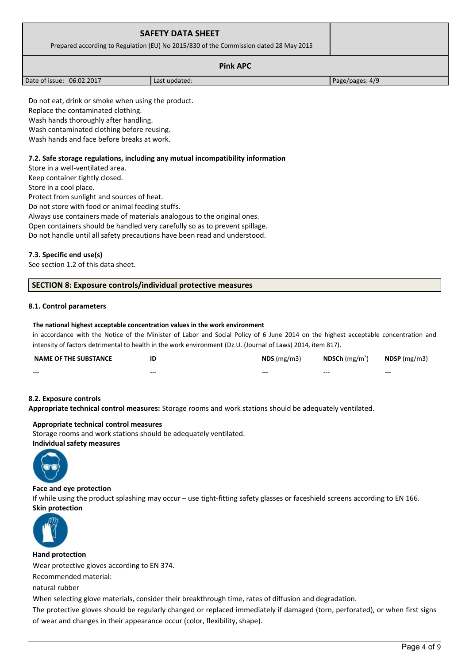| <b>SAFETY DATA SHEET</b><br>Prepared according to Regulation (EU) No 2015/830 of the Commission dated 28 May 2015 |               |                 |
|-------------------------------------------------------------------------------------------------------------------|---------------|-----------------|
| <b>Pink APC</b>                                                                                                   |               |                 |
| Date of issue: 06.02.2017                                                                                         | Last updated: | Page/pages: 4/9 |

Do not eat, drink or smoke when using the product. Replace the contaminated clothing. Wash hands thoroughly after handling. Wash contaminated clothing before reusing.

Wash hands and face before breaks at work.

#### **7.2. Safe storage regulations, including any mutual incompatibility information**

Store in a well-ventilated area. Keep container tightly closed. Store in a cool place.

Protect from sunlight and sources of heat.

Do not store with food or animal feeding stuffs.

Always use containers made of materials analogous to the original ones.

Open containers should be handled very carefully so as to prevent spillage.

Do not handle until all safety precautions have been read and understood.

## **7.3. Specific end use(s)**

See section 1.2 of this data sheet.

#### **SECTION 8: Exposure controls/individual protective measures**

## **8.1. Control parameters**

#### **The national highest acceptable concentration values in the work environment**

in accordance with the Notice of the Minister of Labor and Social Policy of 6 June 2014 on the highest acceptable concentration and intensity of factors detrimental to health in the work environment (Dz.U. (Journal of Laws) 2014, item 817).

| <b>NAME OF THE SUBSTANCE</b> | ID      | $NDS$ (mg/m3) | NDSCh $(mg/m3)$ | $N$ DSP (mg/m3) |
|------------------------------|---------|---------------|-----------------|-----------------|
| $- - -$                      | $- - -$ | $- - -$       | $- - -$         | $- - -$         |

#### **8.2. Exposure controls**

**Appropriate technical control measures:** Storage rooms and work stations should be adequately ventilated.

#### **Appropriate technical control measures**

Storage rooms and work stations should be adequately ventilated. **Individual safety measures** 



#### **Face and eye protection**

If while using the product splashing may occur – use tight-fitting safety glasses or faceshield screens according to EN 166. **Skin protection** 



#### **Hand protection**

Wear protective gloves according to EN 374.

Recommended material:

natural rubber

When selecting glove materials, consider their breakthrough time, rates of diffusion and degradation.

The protective gloves should be regularly changed or replaced immediately if damaged (torn, perforated), or when first signs of wear and changes in their appearance occur (color, flexibility, shape).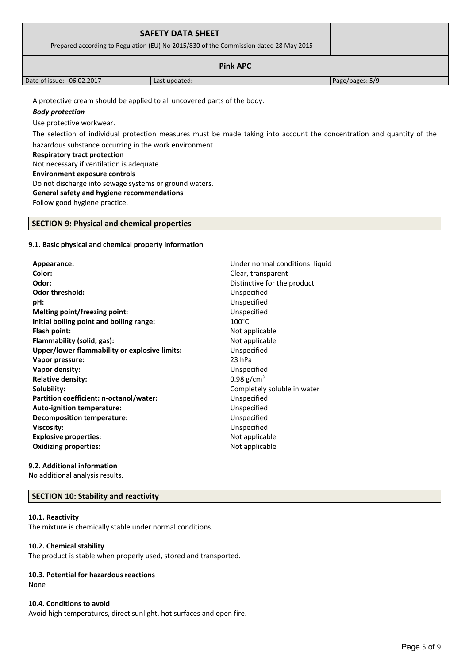| <b>SAFETY DATA SHEET</b><br>Prepared according to Regulation (EU) No 2015/830 of the Commission dated 28 May 2015 |               |                 |  |
|-------------------------------------------------------------------------------------------------------------------|---------------|-----------------|--|
|                                                                                                                   |               |                 |  |
| Date of issue: 06.02.2017                                                                                         | Last updated: | Page/pages: 5/9 |  |
| A protective cream should be applied to all uncovered parts of the body.<br>_ . _ .                               |               |                 |  |

## *Body protection*

Use protective workwear.

The selection of individual protection measures must be made taking into account the concentration and quantity of the hazardous substance occurring in the work environment.

#### **Respiratory tract protection**

Not necessary if ventilation is adequate.

#### **Environment exposure controls**

Do not discharge into sewage systems or ground waters.

## **General safety and hygiene recommendations**

Follow good hygiene practice.

## **SECTION 9: Physical and chemical properties**

## **9.1. Basic physical and chemical property information**

**Appearance:** Under normal conditions: liquid **Color:** Clear, transparent **Odor:** Distinctive for the product **Odor threshold:** Unspecified **pH:** Unspecified **Melting point/freezing point:** Unspecified **Initial boiling point and boiling range:** 100°C **Flash point:** Not applicable **Flammability (solid, gas):** Not applicable **Upper/lower flammability or explosive limits:** Unspecified **Vapor pressure:** 23 hPa **Vapor density:** Unspecified **Relative density:** 0.98 g/cm<sup>3</sup> **Solubility:** Completely soluble in water **Partition coefficient: n-octanol/water:** Unspecified **Auto-ignition temperature:** Unspecified **Decomposition temperature:** Unspecified **Viscosity:** Unspecified **Explosive properties:**  $\blacksquare$  Not applicable **Oxidizing properties:** Not applicable

## **9.2. Additional information**

No additional analysis results.

## **SECTION 10: Stability and reactivity**

## **10.1. Reactivity**

The mixture is chemically stable under normal conditions.

## **10.2. Chemical stability**

The product is stable when properly used, stored and transported.

## **10.3. Potential for hazardous reactions**

None

## **10.4. Conditions to avoid**

Avoid high temperatures, direct sunlight, hot surfaces and open fire.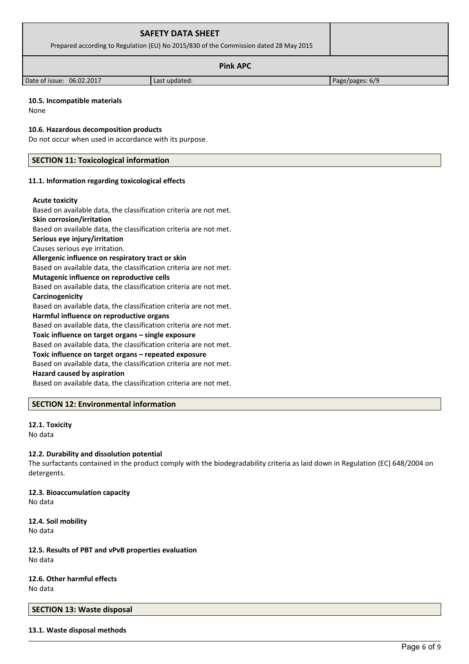| <b>SAFETY DATA SHEET</b><br>Prepared according to Regulation (EU) No 2015/830 of the Commission dated 28 May 2015 |               |                 |
|-------------------------------------------------------------------------------------------------------------------|---------------|-----------------|
| <b>Pink APC</b>                                                                                                   |               |                 |
| Date of issue: 06.02.2017                                                                                         | Last updated: | Page/pages: 6/9 |

#### **10.5. Incompatible materials**

None

**10.6. Hazardous decomposition products**

Do not occur when used in accordance with its purpose.

## **SECTION 11: Toxicological information**

#### **11.1. Information regarding toxicological effects**

#### **Acute toxicity**

Based on available data, the classification criteria are not met.

## **Skin corrosion/irritation**

Based on available data, the classification criteria are not met.

## **Serious eye injury/irritation**

Causes serious eye irritation.

## **Allergenic influence on respiratory tract or skin**

Based on available data, the classification criteria are not met.

## **Mutagenic influence on reproductive cells**

Based on available data, the classification criteria are not met. **Carcinogenicity**

Based on available data, the classification criteria are not met. **Harmful influence on reproductive organs**

Based on available data, the classification criteria are not met.

## **Toxic influence on target organs – single exposure**

Based on available data, the classification criteria are not met.

#### **Toxic influence on target organs – repeated exposure**

Based on available data, the classification criteria are not met.

## **Hazard caused by aspiration**

Based on available data, the classification criteria are not met.

## **SECTION 12: Environmental information**

#### **12.1. Toxicity** No data

## **12.2. Durability and dissolution potential**

The surfactants contained in the product comply with the biodegradability criteria as laid down in Regulation (EC) 648/2004 on detergents.

## **12.3. Bioaccumulation capacity**

No data

## **12.4. Soil mobility** No data

**12.5. Results of PBT and vPvB properties evaluation** No data

# **12.6. Other harmful effects**

No data

## **SECTION 13: Waste disposal**

## **13.1. Waste disposal methods**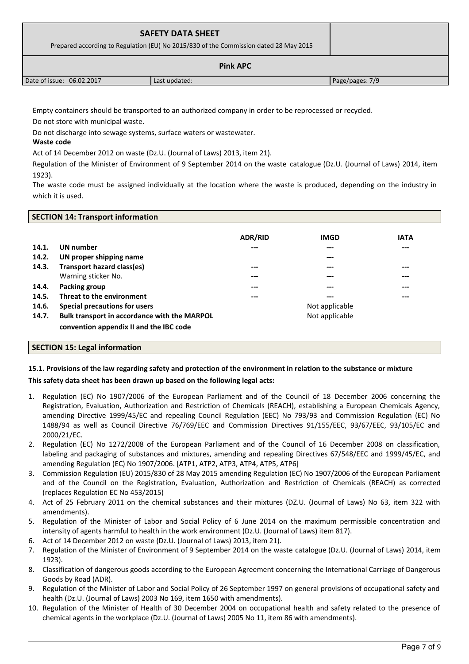| <b>SAFETY DATA SHEET</b><br>Prepared according to Regulation (EU) No 2015/830 of the Commission dated 28 May 2015 |               |                 |  |
|-------------------------------------------------------------------------------------------------------------------|---------------|-----------------|--|
| <b>Pink APC</b>                                                                                                   |               |                 |  |
| Date of issue: 06.02.2017                                                                                         | Last updated: | Page/pages: 7/9 |  |

Empty containers should be transported to an authorized company in order to be reprocessed or recycled.

Do not store with municipal waste.

Do not discharge into sewage systems, surface waters or wastewater.

## **Waste code**

Act of 14 December 2012 on waste (Dz.U. (Journal of Laws) 2013, item 21).

Regulation of the Minister of Environment of 9 September 2014 on the waste catalogue (Dz.U. (Journal of Laws) 2014, item 1923).

The waste code must be assigned individually at the location where the waste is produced, depending on the industry in which it is used.

## **SECTION 14: Transport information**

|       |                                              | <b>ADR/RID</b> | <b>IMGD</b>    | <b>IATA</b> |
|-------|----------------------------------------------|----------------|----------------|-------------|
| 14.1. | UN number                                    | ---            | $---$          | $---$       |
| 14.2. | UN proper shipping name                      |                | $---$          |             |
| 14.3. | <b>Transport hazard class(es)</b>            | ---            | $---$          | $---$       |
|       | Warning sticker No.                          | ---            | ---            | ---         |
| 14.4. | Packing group                                | ---            | $---$          | $---$       |
| 14.5. | Threat to the environment                    | ---            | $---$          | $---$       |
| 14.6. | Special precautions for users                |                | Not applicable |             |
| 14.7. | Bulk transport in accordance with the MARPOL |                | Not applicable |             |
|       | convention appendix II and the IBC code      |                |                |             |

## **SECTION 15: Legal information**

## **15.1. Provisions of the law regarding safety and protection of the environment in relation to the substance or mixture**

## **This safety data sheet has been drawn up based on the following legal acts:**

- 1. Regulation (EC) No 1907/2006 of the European Parliament and of the Council of 18 December 2006 concerning the Registration, Evaluation, Authorization and Restriction of Chemicals (REACH), establishing a European Chemicals Agency, amending Directive 1999/45/EC and repealing Council Regulation (EEC) No 793/93 and Commission Regulation (EC) No 1488/94 as well as Council Directive 76/769/EEC and Commission Directives 91/155/EEC, 93/67/EEC, 93/105/EC and 2000/21/EC.
- 2. Regulation (EC) No 1272/2008 of the European Parliament and of the Council of 16 December 2008 on classification, labeling and packaging of substances and mixtures, amending and repealing Directives 67/548/EEC and 1999/45/EC, and amending Regulation (EC) No 1907/2006. [ATP1, ATP2, ATP3, ATP4, ATP5, ATP6]
- 3. Commission Regulation (EU) 2015/830 of 28 May 2015 amending Regulation (EC) No 1907/2006 of the European Parliament and of the Council on the Registration, Evaluation, Authorization and Restriction of Chemicals (REACH) as corrected (replaces Regulation EC No 453/2015)
- 4. Act of 25 February 2011 on the chemical substances and their mixtures (DZ.U. (Journal of Laws) No 63, item 322 with amendments).
- 5. Regulation of the Minister of Labor and Social Policy of 6 June 2014 on the maximum permissible concentration and intensity of agents harmful to health in the work environment (Dz.U. (Journal of Laws) item 817).
- 6. Act of 14 December 2012 on waste (Dz.U. (Journal of Laws) 2013, item 21).
- 7. Regulation of the Minister of Environment of 9 September 2014 on the waste catalogue (Dz.U. (Journal of Laws) 2014, item 1923).
- 8. Classification of dangerous goods according to the European Agreement concerning the International Carriage of Dangerous Goods by Road (ADR).
- 9. Regulation of the Minister of Labor and Social Policy of 26 September 1997 on general provisions of occupational safety and health (Dz.U. (Journal of Laws) 2003 No 169, item 1650 with amendments).
- 10. Regulation of the Minister of Health of 30 December 2004 on occupational health and safety related to the presence of chemical agents in the workplace (Dz.U. (Journal of Laws) 2005 No 11, item 86 with amendments).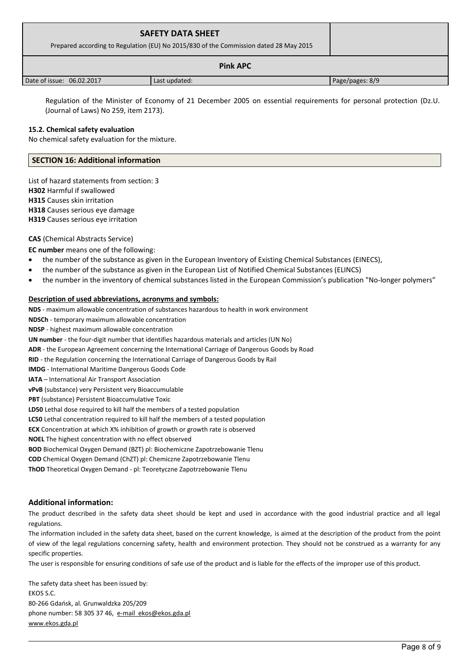| <b>SAFETY DATA SHEET</b><br>Prepared according to Regulation (EU) No 2015/830 of the Commission dated 28 May 2015 |               |                 |  |
|-------------------------------------------------------------------------------------------------------------------|---------------|-----------------|--|
| <b>Pink APC</b>                                                                                                   |               |                 |  |
| Date of issue: 06.02.2017                                                                                         | Last updated: | Page/pages: 8/9 |  |

 Regulation of the Minister of Economy of 21 December 2005 on essential requirements for personal protection (Dz.U. (Journal of Laws) No 259, item 2173).

#### **15.2. Chemical safety evaluation**

No chemical safety evaluation for the mixture.

## **SECTION 16: Additional information**

List of hazard statements from section: 3 **H302** Harmful if swallowed **H315** Causes skin irritation **H318** Causes serious eye damage **H319** Causes serious eye irritation

#### **CAS** (Chemical Abstracts Service)

**EC number** means one of the following:

- the number of the substance as given in the European Inventory of Existing Chemical Substances (EINECS),
- the number of the substance as given in the European List of Notified Chemical Substances (ELINCS)
- the number in the inventory of chemical substances listed in the European Commission's publication "No-longer polymers"

#### **Description of used abbreviations, acronyms and symbols:**

**NDS** - maximum allowable concentration of substances hazardous to health in work environment **NDSCh** - temporary maximum allowable concentration **NDSP** - highest maximum allowable concentration **UN number** - the four-digit number that identifies hazardous materials and articles (UN No) **ADR** - the European Agreement concerning the International Carriage of Dangerous Goods by Road **RID** - the Regulation concerning the International Carriage of Dangerous Goods by Rail **IMDG** - International Maritime Dangerous Goods Code **IATA** – International Air Transport Association **vPvB** (substance) very Persistent very Bioaccumulable **PBT** (substance) Persistent Bioaccumulative Toxic **LD50** Lethal dose required to kill half the members of a tested population **LC50** Lethal concentration required to kill half the members of a tested population **ECX** Concentration at which X% inhibition of growth or growth rate is observed **NOEL** The highest concentration with no effect observed **BOD** Biochemical Oxygen Demand (BZT) pl: Biochemiczne Zapotrzebowanie Tlenu **COD** Chemical Oxygen Demand (ChZT) pl: Chemiczne Zapotrzebowanie Tlenu **ThOD** Theoretical Oxygen Demand - pl: Teoretyczne Zapotrzebowanie Tlenu

## **Additional information:**

The product described in the safety data sheet should be kept and used in accordance with the good industrial practice and all legal regulations.

The information included in the safety data sheet, based on the current knowledge, is aimed at the description of the product from the point of view of the legal regulations concerning safety, health and environment protection. They should not be construed as a warranty for any specific properties.

The user is responsible for ensuring conditions of safe use of the product and is liable for the effects of the improper use of this product.

The safety data sheet has been issued by: EKOS S.C. 80-266 Gdańsk, al. Grunwaldzka 205/209 phone number: 58 305 37 46, [e-mail ekos@ekos.gda.pl](mailto:e-mail%20%20ekos@ekos.gda.pl) [www.ekos.gda.pl](http://www.ekos.gda.pl/)